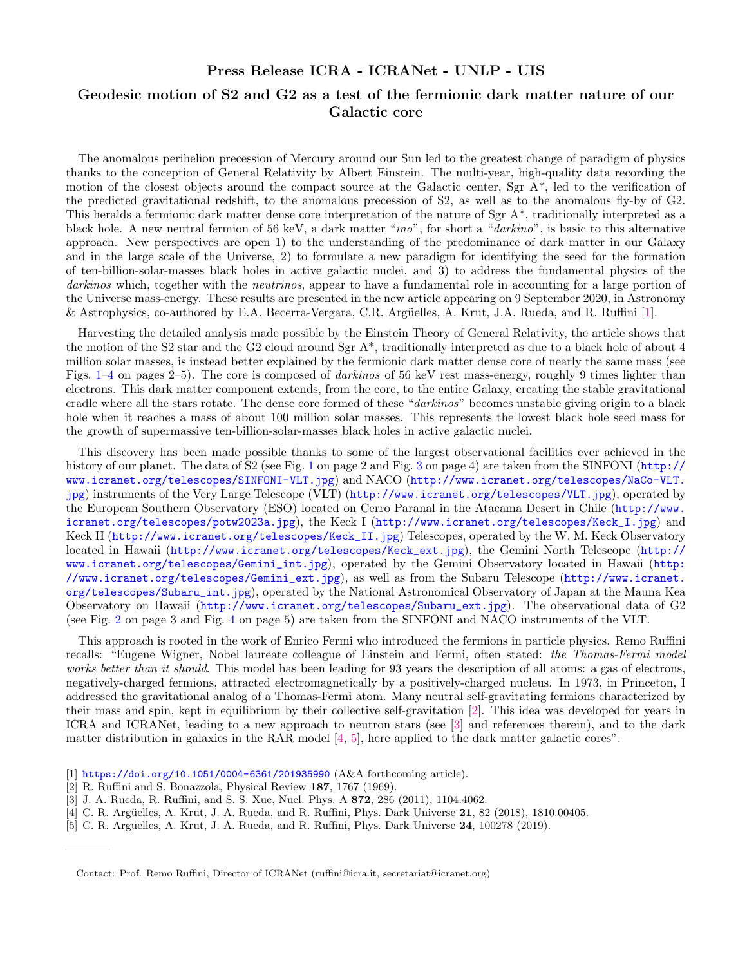## Press Release ICRA - ICRANet - UNLP - UIS

## Geodesic motion of S2 and G2 as a test of the fermionic dark matter nature of our Galactic core

The anomalous perihelion precession of Mercury around our Sun led to the greatest change of paradigm of physics thanks to the conception of General Relativity by Albert Einstein. The multi-year, high-quality data recording the motion of the closest objects around the compact source at the Galactic center, Sgr A\*, led to the verification of the predicted gravitational redshift, to the anomalous precession of S2, as well as to the anomalous fly-by of G2. This heralds a fermionic dark matter dense core interpretation of the nature of Sgr  $A^*$ , traditionally interpreted as a black hole. A new neutral fermion of 56 keV, a dark matter "ino", for short a "darkino", is basic to this alternative approach. New perspectives are open 1) to the understanding of the predominance of dark matter in our Galaxy and in the large scale of the Universe, 2) to formulate a new paradigm for identifying the seed for the formation of ten-billion-solar-masses black holes in active galactic nuclei, and 3) to address the fundamental physics of the darkinos which, together with the neutrinos, appear to have a fundamental role in accounting for a large portion of the Universe mass-energy. These results are presented in the new article appearing on 9 September 2020, in Astronomy & Astrophysics, co-authored by E.A. Becerra-Vergara, C.R. Argüelles, A. Krut, J.A. Rueda, and R. Ruffini [\[1\]](#page-0-0).

Harvesting the detailed analysis made possible by the Einstein Theory of General Relativity, the article shows that the motion of the S2 star and the G2 cloud around Sgr A\*, traditionally interpreted as due to a black hole of about 4 million solar masses, is instead better explained by the fermionic dark matter dense core of nearly the same mass (see Figs. [1](#page-1-0)[–4](#page-4-0) on pages 2–5). The core is composed of *darkinos* of 56 keV rest mass-energy, roughly 9 times lighter than electrons. This dark matter component extends, from the core, to the entire Galaxy, creating the stable gravitational cradle where all the stars rotate. The dense core formed of these "darkinos" becomes unstable giving origin to a black hole when it reaches a mass of about 100 million solar masses. This represents the lowest black hole seed mass for the growth of supermassive ten-billion-solar-masses black holes in active galactic nuclei.

This discovery has been made possible thanks to some of the largest observational facilities ever achieved in the history of our planet. The data of S2 (see Fig. [1](#page-1-0) on page 2 and Fig. [3](#page-3-0) on page 4) are taken from the SINFONI ([http://](http://www.icranet.org/telescopes/SINFONI-VLT.jpg) [www.icranet.org/telescopes/SINFONI-VLT.jpg](http://www.icranet.org/telescopes/SINFONI-VLT.jpg)) and NACO ([http://www.icranet.org/telescopes/NaCo-VLT.](http://www.icranet.org/telescopes/NaCo-VLT.jpg) [jpg](http://www.icranet.org/telescopes/NaCo-VLT.jpg)) instruments of the Very Large Telescope (VLT) (<http://www.icranet.org/telescopes/VLT.jpg>), operated by the European Southern Observatory (ESO) located on Cerro Paranal in the Atacama Desert in Chile ([http://www.](http://www.icranet.org/telescopes/potw2023a.jpg) [icranet.org/telescopes/potw2023a.jpg](http://www.icranet.org/telescopes/potw2023a.jpg)), the Keck I ([http://www.icranet.org/telescopes/Keck\\_I.jpg](http://www.icranet.org/telescopes/Keck_I.jpg)) and Keck II ([http://www.icranet.org/telescopes/Keck\\_II.jpg](http://www.icranet.org/telescopes/Keck_II.jpg)) Telescopes, operated by the W. M. Keck Observatory located in Hawaii ([http://www.icranet.org/telescopes/Keck\\_ext.jpg](http://www.icranet.org/telescopes/Keck_ext.jpg)), the Gemini North Telescope ([http://](http://www.icranet.org/telescopes/Gemini_int.jpg) [www.icranet.org/telescopes/Gemini\\_int.jpg](http://www.icranet.org/telescopes/Gemini_int.jpg)), operated by the Gemini Observatory located in Hawaii ([http:](http://www.icranet.org/telescopes/Gemini_ext.jpg) [//www.icranet.org/telescopes/Gemini\\_ext.jpg](http://www.icranet.org/telescopes/Gemini_ext.jpg)), as well as from the Subaru Telescope ([http://www.icranet.](http://www.icranet.org/telescopes/Subaru_int.jpg) [org/telescopes/Subaru\\_int.jpg](http://www.icranet.org/telescopes/Subaru_int.jpg)), operated by the National Astronomical Observatory of Japan at the Mauna Kea Observatory on Hawaii ([http://www.icranet.org/telescopes/Subaru\\_ext.jpg](http://www.icranet.org/telescopes/Subaru_ext.jpg)). The observational data of G2 (see Fig. [2](#page-2-0) on page 3 and Fig. [4](#page-4-0) on page 5) are taken from the SINFONI and NACO instruments of the VLT.

This approach is rooted in the work of Enrico Fermi who introduced the fermions in particle physics. Remo Ruffini recalls: "Eugene Wigner, Nobel laureate colleague of Einstein and Fermi, often stated: the Thomas-Fermi model works better than it should. This model has been leading for 93 years the description of all atoms: a gas of electrons, negatively-charged fermions, attracted electromagnetically by a positively-charged nucleus. In 1973, in Princeton, I addressed the gravitational analog of a Thomas-Fermi atom. Many neutral self-gravitating fermions characterized by their mass and spin, kept in equilibrium by their collective self-gravitation [\[2\]](#page-0-1). This idea was developed for years in ICRA and ICRANet, leading to a new approach to neutron stars (see [\[3\]](#page-0-2) and references therein), and to the dark matter distribution in galaxies in the RAR model [\[4,](#page-0-3) [5\]](#page-0-4), here applied to the dark matter galactic cores"[.](#page-0-5)

- <span id="page-0-0"></span>[1] <https://doi.org/10.1051/0004-6361/201935990> (A&A forthcoming article).
- <span id="page-0-1"></span>[2] R. Ruffini and S. Bonazzola, Physical Review 187, 1767 (1969).
- <span id="page-0-2"></span>[3] J. A. Rueda, R. Ruffini, and S. S. Xue, Nucl. Phys. A 872, 286 (2011), 1104.4062.
- <span id="page-0-3"></span>[4] C. R. Argüelles, A. Krut, J. A. Rueda, and R. Ruffini, Phys. Dark Universe 21, 82 (2018), 1810.00405.
- <span id="page-0-4"></span>[5] C. R. Argüelles, A. Krut, J. A. Rueda, and R. Ruffini, Phys. Dark Universe 24, 100278 (2019).

<span id="page-0-5"></span>Contact: Prof. Remo Ruffini, Director of ICRANet (ruffini@icra.it, secretariat@icranet.org)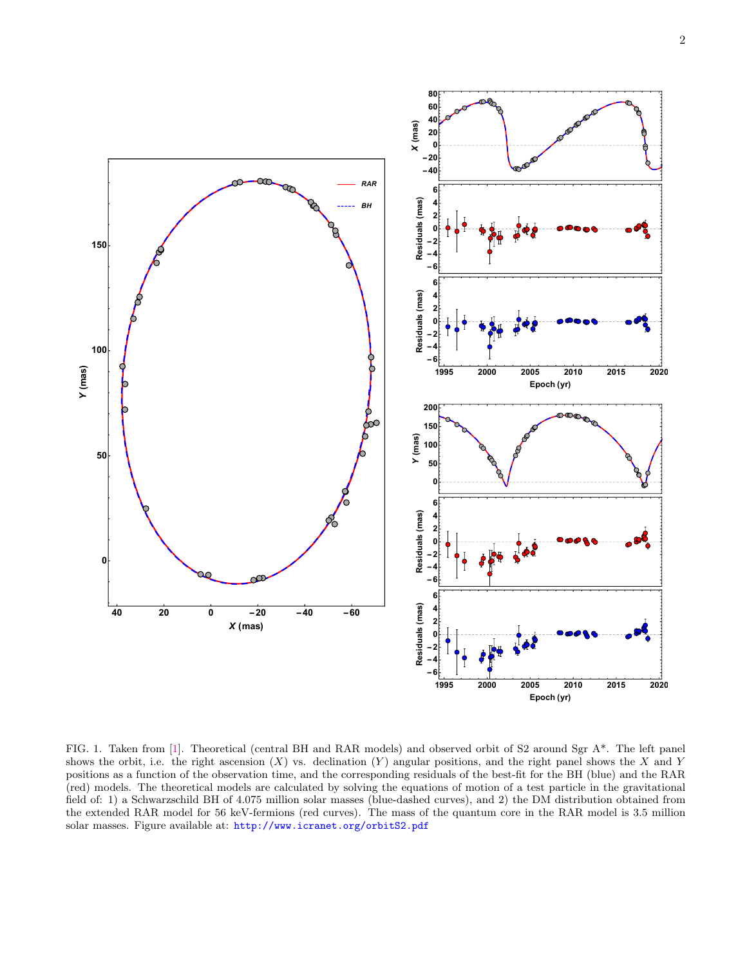

<span id="page-1-0"></span>FIG. 1. Taken from [\[1\]](#page-0-0). Theoretical (central BH and RAR models) and observed orbit of S2 around Sgr A\*. The left panel shows the orbit, i.e. the right ascension  $(X)$  vs. declination  $(Y)$  angular positions, and the right panel shows the X and Y positions as a function of the observation time, and the corresponding residuals of the best-fit for the BH (blue) and the RAR (red) models. The theoretical models are calculated by solving the equations of motion of a test particle in the gravitational field of: 1) a Schwarzschild BH of 4.075 million solar masses (blue-dashed curves), and 2) the DM distribution obtained from the extended RAR model for 56 keV-fermions (red curves). The mass of the quantum core in the RAR model is 3.5 million solar masses. Figure available at: <http://www.icranet.org/orbitS2.pdf>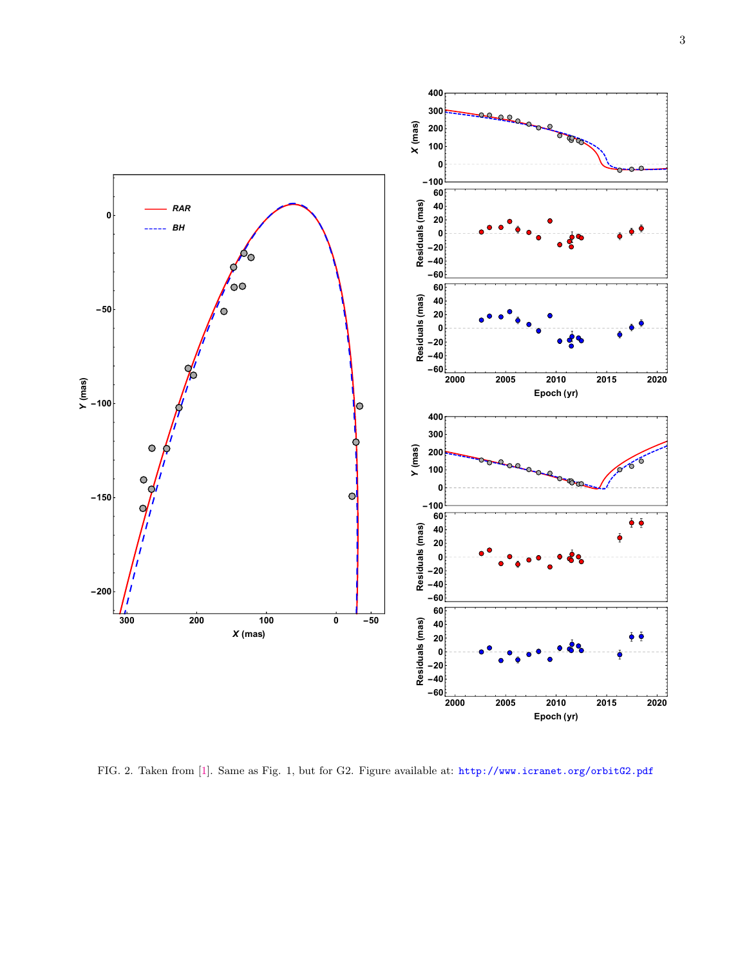3



<span id="page-2-0"></span>FIG. 2. Taken from [\[1\]](#page-0-0). Same as Fig. 1, but for G2. Figure available at: <http://www.icranet.org/orbitG2.pdf>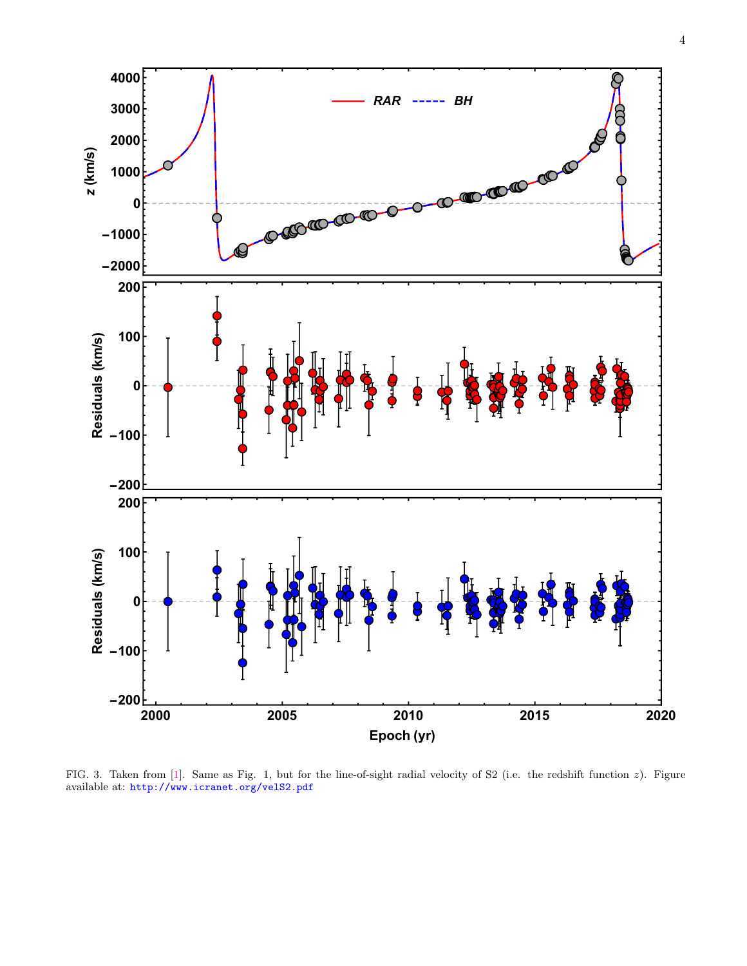

<span id="page-3-0"></span>FIG. 3. Taken from [\[1\]](#page-0-0). Same as Fig. 1, but for the line-of-sight radial velocity of S2 (i.e. the redshift function z). Figure available at: <http://www.icranet.org/velS2.pdf>